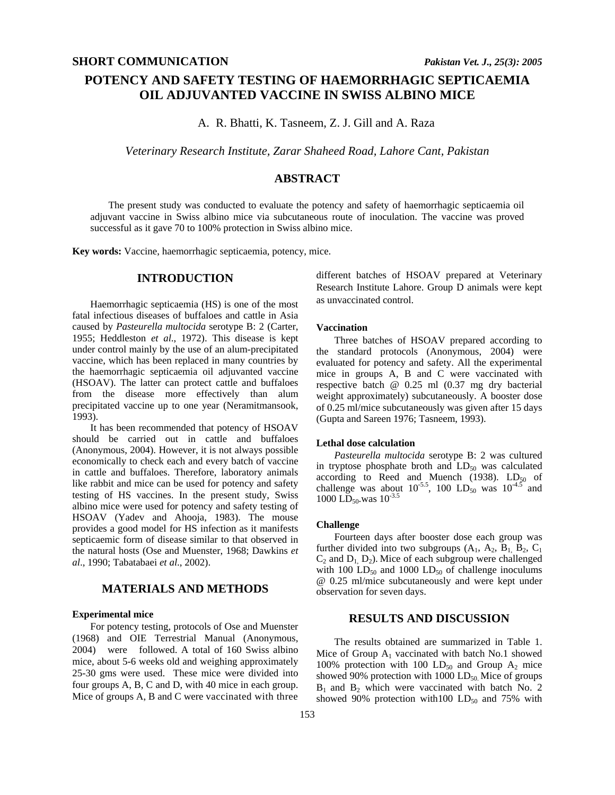# **POTENCY AND SAFETY TESTING OF HAEMORRHAGIC SEPTICAEMIA OIL ADJUVANTED VACCINE IN SWISS ALBINO MICE**

A. R. Bhatti, K. Tasneem, Z. J. Gill and A. Raza

*Veterinary Research Institute, Zarar Shaheed Road, Lahore Cant, Pakistan* 

# **ABSTRACT**

The present study was conducted to evaluate the potency and safety of haemorrhagic septicaemia oil adjuvant vaccine in Swiss albino mice via subcutaneous route of inoculation. The vaccine was proved successful as it gave 70 to 100% protection in Swiss albino mice.

**Key words:** Vaccine, haemorrhagic septicaemia, potency, mice.

### **INTRODUCTION**

Haemorrhagic septicaemia (HS) is one of the most fatal infectious diseases of buffaloes and cattle in Asia caused by *Pasteurella multocida* serotype B: 2 (Carter, 1955; Heddleston *et al*., 1972). This disease is kept under control mainly by the use of an alum-precipitated vaccine, which has been replaced in many countries by the haemorrhagic septicaemia oil adjuvanted vaccine (HSOAV). The latter can protect cattle and buffaloes from the disease more effectively than alum precipitated vaccine up to one year (Neramitmansook, 1993).

It has been recommended that potency of HSOAV should be carried out in cattle and buffaloes (Anonymous, 2004). However, it is not always possible economically to check each and every batch of vaccine in cattle and buffaloes. Therefore, laboratory animals like rabbit and mice can be used for potency and safety testing of HS vaccines. In the present study, Swiss albino mice were used for potency and safety testing of HSOAV (Yadev and Ahooja, 1983). The mouse provides a good model for HS infection as it manifests septicaemic form of disease similar to that observed in the natural hosts (Ose and Muenster, 1968; Dawkins *et al*., 1990; Tabatabaei *et al*., 2002).

# **MATERIALS AND METHODS**

#### **Experimental mice**

For potency testing, protocols of Ose and Muenster (1968) and OIE Terrestrial Manual (Anonymous, 2004) were followed. A total of 160 Swiss albino mice, about 5-6 weeks old and weighing approximately 25-30 gms were used. These mice were divided into four groups A, B, C and D, with 40 mice in each group. Mice of groups A, B and C were vaccinated with three

different batches of HSOAV prepared at Veterinary Research Institute Lahore. Group D animals were kept as unvaccinated control.

#### **Vaccination**

Three batches of HSOAV prepared according to the standard protocols (Anonymous, 2004) were evaluated for potency and safety. All the experimental mice in groups A, B and C were vaccinated with respective batch @ 0.25 ml (0.37 mg dry bacterial weight approximately) subcutaneously. A booster dose of 0.25 ml/mice subcutaneously was given after 15 days (Gupta and Sareen 1976; Tasneem, 1993).

#### **Lethal dose calculation**

*Pasteurella multocida* serotype B: 2 was cultured in tryptose phosphate broth and  $LD_{50}$  was calculated according to Reed and Muench (1938).  $LD_{50}$  of challenge was about  $10^{-5.5}$ , 100 LD<sub>50</sub> was  $10^{-4.5}$  and 1000 LD<sub>50</sub>, was  $10^{-3.5}$ 

#### **Challenge**

Fourteen days after booster dose each group was further divided into two subgroups  $(A_1, A_2, B_1, B_2, C_1)$  $C_2$  and  $D_1$ ,  $D_2$ ). Mice of each subgroup were challenged with 100  $LD_{50}$  and 1000  $LD_{50}$  of challenge inoculums @ 0.25 ml/mice subcutaneously and were kept under observation for seven days.

## **RESULTS AND DISCUSSION**

The results obtained are summarized in Table 1. Mice of Group  $A_1$  vaccinated with batch No.1 showed 100% protection with 100  $LD_{50}$  and Group  $A_2$  mice showed 90% protection with  $1000$  LD<sub>50</sub>. Mice of groups  $B_1$  and  $B_2$  which were vaccinated with batch No. 2 showed 90% protection with 100  $LD_{50}$  and 75% with